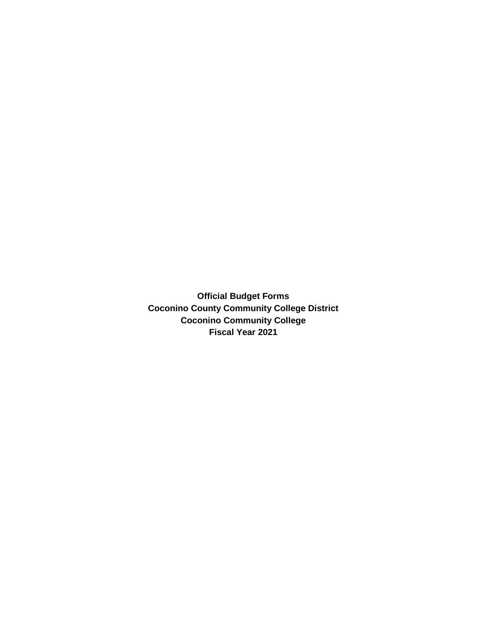**Official Budget Forms Coconino County Community College District Coconino Community College Fiscal Year 2021**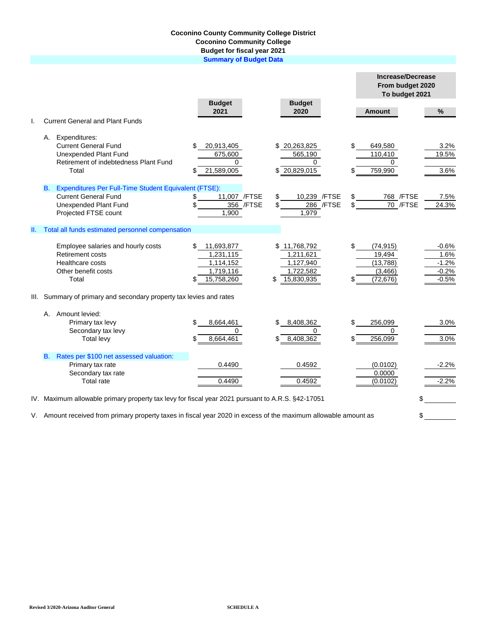## **Coconino County Community College District Coconino Community College Budget for fiscal year 2021**

**Summary of Budget Data**

|                                                                                                                       |                                                                                                                                                           |                                                                            |                                                                         |          | <b>Increase/Decrease</b><br>From budget 2020<br>To budget 2021 |                                                  |  |  |  |
|-----------------------------------------------------------------------------------------------------------------------|-----------------------------------------------------------------------------------------------------------------------------------------------------------|----------------------------------------------------------------------------|-------------------------------------------------------------------------|----------|----------------------------------------------------------------|--------------------------------------------------|--|--|--|
|                                                                                                                       |                                                                                                                                                           | <b>Budget</b><br>2021                                                      | <b>Budget</b><br>2020                                                   |          | <b>Amount</b>                                                  | $\%$                                             |  |  |  |
| I.                                                                                                                    | <b>Current General and Plant Funds</b>                                                                                                                    |                                                                            |                                                                         |          |                                                                |                                                  |  |  |  |
|                                                                                                                       | A. Expenditures:<br><b>Current General Fund</b><br>Unexpended Plant Fund<br>Retirement of indebtedness Plant Fund<br>Total                                | 20,913,405<br>\$<br>675,600<br>0<br>21,589,005<br>S                        | \$20,263,825<br>565,190<br>$\Omega$<br>20,829,015                       | \$       | 649,580<br>110,410<br>$\Omega$<br>759,990                      | 3.2%<br>19.5%<br>3.6%                            |  |  |  |
|                                                                                                                       | Expenditures Per Full-Time Student Equivalent (FTSE):<br><b>B.</b><br><b>Current General Fund</b><br><b>Unexpended Plant Fund</b><br>Projected FTSE count | 11,007 /FTSE<br>\$<br>356 / FTSE<br>\$<br>1,900                            | 10,239 /FTSE<br>\$<br>286 / FTSE<br>1,979                               | \$<br>\$ | 768 / FTSE<br>70 /FTSE                                         | 7.5%<br>24.3%                                    |  |  |  |
| Ш.                                                                                                                    | Total all funds estimated personnel compensation                                                                                                          |                                                                            |                                                                         |          |                                                                |                                                  |  |  |  |
|                                                                                                                       | Employee salaries and hourly costs<br>Retirement costs<br>Healthcare costs<br>Other benefit costs<br>Total                                                | \$<br>11,693,877<br>1,231,115<br>1,114,152<br>1,719,116<br>15,758,260<br>S | \$11,768,792<br>1,211,621<br>1,127,940<br>1,722,582<br>15,830,935<br>\$ | \$<br>\$ | (74, 915)<br>19,494<br>(13, 788)<br>(3, 466)<br>(72, 676)      | $-0.6%$<br>1.6%<br>$-1.2%$<br>$-0.2%$<br>$-0.5%$ |  |  |  |
|                                                                                                                       | III. Summary of primary and secondary property tax levies and rates                                                                                       |                                                                            |                                                                         |          |                                                                |                                                  |  |  |  |
|                                                                                                                       | A. Amount levied:<br>Primary tax levy<br>Secondary tax levy<br><b>Total levy</b>                                                                          | \$<br>8,664,461<br>0<br>\$<br>8,664,461                                    | 8,408,362<br>0<br>8,408,362                                             | \$<br>\$ | 256,099<br>$\Omega$<br>256,099                                 | 3.0%<br>3.0%                                     |  |  |  |
|                                                                                                                       | Rates per \$100 net assessed valuation:<br><b>B.</b><br>Primary tax rate<br>Secondary tax rate<br>Total rate                                              | 0.4490<br>0.4490                                                           | 0.4592<br>0.4592                                                        |          | (0.0102)<br>0.0000<br>(0.0102)                                 | $-2.2%$<br>$-2.2%$                               |  |  |  |
|                                                                                                                       | IV. Maximum allowable primary property tax levy for fiscal year 2021 pursuant to A.R.S. §42-17051                                                         |                                                                            |                                                                         |          | \$                                                             |                                                  |  |  |  |
| V. Amount received from primary property taxes in fiscal year 2020 in excess of the maximum allowable amount as<br>\$ |                                                                                                                                                           |                                                                            |                                                                         |          |                                                                |                                                  |  |  |  |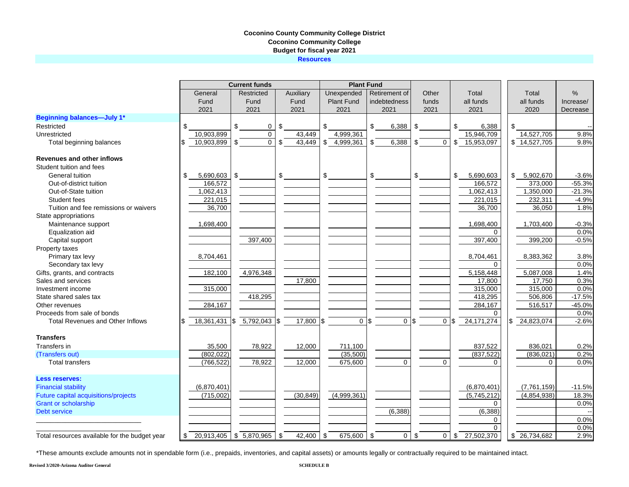## **Coconino County Community College District Coconino Community College Budget for fiscal year 2021 Resources**

|                                               |                  | <b>Current funds</b> |                      |                   | <b>Plant Fund</b> |                      |                              |                     |           |
|-----------------------------------------------|------------------|----------------------|----------------------|-------------------|-------------------|----------------------|------------------------------|---------------------|-----------|
|                                               | General          | Restricted           | Auxiliary            | Unexpended        | Retirement of     | Other                | Total                        | Total               | %         |
|                                               | Fund             | Fund                 | Fund                 | <b>Plant Fund</b> | indebtedness      | funds                | all funds                    | all funds           | Increase/ |
|                                               | 2021             | 2021                 | 2021                 | 2021              | 2021              | 2021                 | 2021                         | 2020                | Decrease  |
| <b>Beginning balances-July 1*</b>             |                  |                      |                      |                   |                   |                      |                              |                     |           |
| Restricted                                    | \$               | \$<br>0              | \$                   | \$                | \$<br>6,388       | \$                   | \$<br>6,388                  | \$                  |           |
| Unrestricted                                  | 10.903.899       | 0                    | 43.449               | 4,999,361         |                   |                      | 15,946,709                   | 14,527,705          | 9.8%      |
| Total beginning balances                      | 10,903,899       | \$<br>$\mathbf 0$    | \$<br>43,449         | \$4,999,361       | 6,388<br>\$       | \$<br>$\mathbf 0$    | 15,953,097<br>\$             | \$14,527,705        | 9.8%      |
| Revenues and other inflows                    |                  |                      |                      |                   |                   |                      |                              |                     |           |
| Student tuition and fees                      |                  |                      |                      |                   |                   |                      |                              |                     |           |
| General tuition                               | \$<br>5,690,603  | \$                   | \$                   | \$                | \$                | \$                   | \$<br>5,690,603              | \$5,902,670         | $-3.6%$   |
| Out-of-district tuition                       | 166,572          |                      |                      |                   |                   |                      | 166,572                      | 373,000             | $-55.3%$  |
| Out-of-State tuition                          | 1,062,413        |                      |                      |                   |                   |                      | 1,062,413                    | 1,350,000           | $-21.3%$  |
| Student fees                                  | 221,015          |                      |                      |                   |                   |                      | 221,015                      | 232,311             | $-4.9%$   |
| Tuition and fee remissions or waivers         | 36,700           |                      |                      |                   |                   |                      | 36,700                       | 36,050              | 1.8%      |
| State appropriations                          |                  |                      |                      |                   |                   |                      |                              |                     |           |
| Maintenance support                           | 1,698,400        |                      |                      |                   |                   |                      | 1,698,400                    | 1,703,400           | $-0.3%$   |
| Equalization aid                              |                  |                      |                      |                   |                   |                      | 0                            |                     | 0.0%      |
| Capital support                               |                  | 397,400              |                      |                   |                   |                      | 397,400                      | 399,200             | $-0.5%$   |
| Property taxes                                |                  |                      |                      |                   |                   |                      |                              |                     |           |
| Primary tax levy                              | 8,704,461        |                      |                      |                   |                   |                      | 8,704,461                    | 8,383,362           | 3.8%      |
| Secondary tax levy                            |                  |                      |                      |                   |                   |                      | $\Omega$                     |                     | 0.0%      |
| Gifts, grants, and contracts                  | 182,100          | 4,976,348            |                      |                   |                   |                      | 5,158,448                    | 5,087,008           | 1.4%      |
| Sales and services                            |                  |                      | 17,800               |                   |                   |                      | 17,800                       | 17,750              | 0.3%      |
| Investment income                             | 315,000          |                      |                      |                   |                   |                      | 315,000                      | 315,000             | 0.0%      |
| State shared sales tax                        |                  | 418,295              |                      |                   |                   |                      | 418,295                      | 506,806             | $-17.5%$  |
| Other revenues                                | 284,167          |                      |                      |                   |                   |                      | 284,167                      | 516,517             | $-45.0%$  |
| Proceeds from sale of bonds                   |                  |                      |                      |                   |                   |                      | $\Omega$                     |                     | 0.0%      |
| <b>Total Revenues and Other Inflows</b>       | 18,361,431       | 5,792,043<br>\$      | 17,800<br>$\sqrt{3}$ | \$<br>$\mathbf 0$ | 0<br>I\$          | $\sqrt{3}$           | 24, 171, 274<br>$0 \sqrt{3}$ | 24,823,074          | $-2.6%$   |
|                                               |                  |                      |                      |                   |                   |                      |                              |                     |           |
| <b>Transfers</b>                              |                  |                      |                      |                   |                   |                      |                              |                     |           |
| Transfers in                                  | 35,500           | 78,922               | 12,000               | 711,100           |                   |                      | 837,522                      | 836.021             | 0.2%      |
| (Transfers out)                               | (802, 022)       |                      |                      | (35,500)          |                   |                      | (837, 522)                   | (836, 021)          | 0.2%      |
| <b>Total transfers</b>                        | (766, 522)       | 78,922               | 12,000               | 675,600           | $\Omega$          | $\Omega$             | $\Omega$                     | $\Omega$            | 0.0%      |
| <b>Less reserves:</b>                         |                  |                      |                      |                   |                   |                      |                              |                     |           |
| <b>Financial stability</b>                    | (6,870,401)      |                      |                      |                   |                   |                      | (6,870,401)                  | (7,761,159)         | $-11.5%$  |
| Future capital acquisitions/projects          | (715,002)        |                      | (30, 849)            | (4,999,361)       |                   |                      | (5,745,212)                  | (4,854,938)         | 18.3%     |
| <b>Grant or scholarship</b>                   |                  |                      |                      |                   |                   |                      | $\Omega$                     |                     | 0.0%      |
| <b>Debt service</b>                           |                  |                      |                      |                   | (6, 388)          |                      | (6, 388)                     |                     |           |
|                                               |                  |                      |                      |                   |                   |                      | 0                            |                     | 0.0%      |
|                                               |                  |                      |                      |                   |                   |                      | $\Omega$                     |                     | 0.0%      |
| Total resources available for the budget vear | 20,913,405<br>\$ | \$7,870,965          | 42,400<br>\$         | \$<br>675,600     | \$<br>0           | $\overline{0}$<br>\$ | 27,502,370<br>\$             | $\sqrt{26,734,682}$ | 2.9%      |

\*These amounts exclude amounts not in spendable form (i.e., prepaids, inventories, and capital assets) or amounts legally or contractually required to be maintained intact.